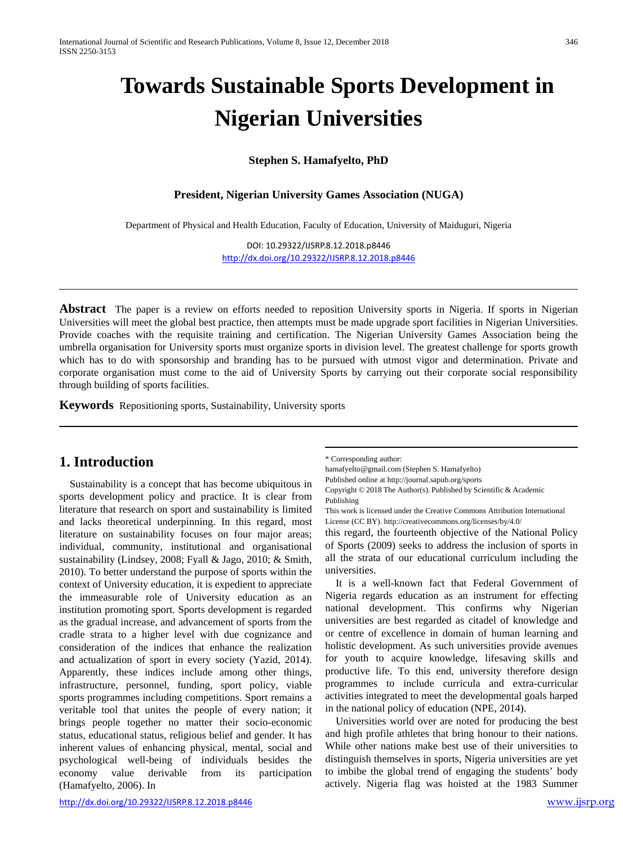# **Towards Sustainable Sports Development in Nigerian Universities**

#### **Stephen S. Hamafyelto, PhD**

#### **President, Nigerian University Games Association (NUGA)**

Department of Physical and Health Education, Faculty of Education, University of Maiduguri, Nigeria

DOI: 10.29322/IJSRP.8.12.2018.p8446 <http://dx.doi.org/10.29322/IJSRP.8.12.2018.p8446>

**Abstract** The paper is a review on efforts needed to reposition University sports in Nigeria. If sports in Nigerian Universities will meet the global best practice, then attempts must be made upgrade sport facilities in Nigerian Universities. Provide coaches with the requisite training and certification. The Nigerian University Games Association being the umbrella organisation for University sports must organize sports in division level. The greatest challenge for sports growth which has to do with sponsorship and branding has to be pursued with utmost vigor and determination. Private and corporate organisation must come to the aid of University Sports by carrying out their corporate social responsibility through building of sports facilities.

**Keywords** Repositioning sports, Sustainability, University sports

# **1. Introduction**

Sustainability is a concept that has become ubiquitous in sports development policy and practice. It is clear from literature that research on sport and sustainability is limited and lacks theoretical underpinning. In this regard, most literature on sustainability focuses on four major areas; individual, community, institutional and organisational sustainability (Lindsey, 2008; Fyall & Jago, 2010; & Smith, 2010). To better understand the purpose of sports within the context of University education, it is expedient to appreciate the immeasurable role of University education as an institution promoting sport. Sports development is regarded as the gradual increase, and advancement of sports from the cradle strata to a higher level with due cognizance and consideration of the indices that enhance the realization and actualization of sport in every society (Yazid, 2014). Apparently, these indices include among other things, infrastructure, personnel, funding, sport policy, viable sports programmes including competitions. Sport remains a veritable tool that unites the people of every nation; it brings people together no matter their socio-economic status, educational status, religious belief and gender. It has inherent values of enhancing physical, mental, social and psychological well-being of individuals besides the economy value derivable from its participation (Hamafyelto, 2006). In

\* Corresponding author:

hamafyelto@gmail.com (Stephen S. Hamafyelto)

Published online at http://journal.sapub.org/sports

Copyright © 2018 The Author(s). Published by Scientific & Academic Publishing

This work is licensed under the Creative Commons Attribution International License (CC BY). <http://creativecommons.org/licenses/by/4.0/>

this regard, the fourteenth objective of the National Policy of Sports (2009) seeks to address the inclusion of sports in all the strata of our educational curriculum including the universities.

It is a well-known fact that Federal Government of Nigeria regards education as an instrument for effecting national development. This confirms why Nigerian universities are best regarded as citadel of knowledge and or centre of excellence in domain of human learning and holistic development. As such universities provide avenues for youth to acquire knowledge, lifesaving skills and productive life. To this end, university therefore design programmes to include curricula and extra-curricular activities integrated to meet the developmental goals harped in the national policy of education (NPE, 2014).

Universities world over are noted for producing the best and high profile athletes that bring honour to their nations. While other nations make best use of their universities to distinguish themselves in sports, Nigeria universities are yet to imbibe the global trend of engaging the students' body actively. Nigeria flag was hoisted at the 1983 Summer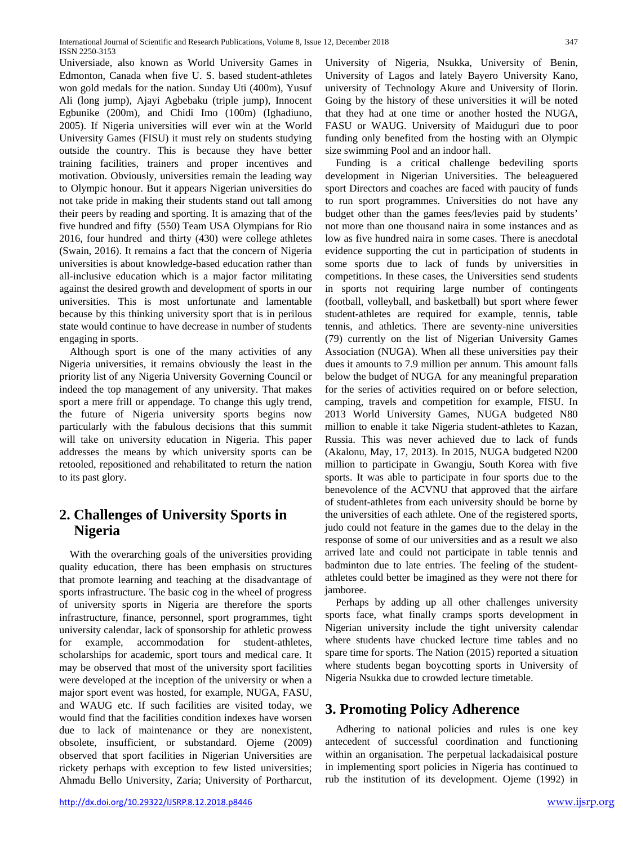Universiade, also known as World University Games in Edmonton, Canada when five U. S. based student-athletes won gold medals for the nation. Sunday Uti (400m), Yusuf Ali (long jump), Ajayi Agbebaku (triple jump), Innocent Egbunike (200m), and Chidi Imo (100m) (Ighadiuno, 2005). If Nigeria universities will ever win at the World University Games (FISU) it must rely on students studying outside the country. This is because they have better training facilities, trainers and proper incentives and motivation. Obviously, universities remain the leading way to Olympic honour. But it appears Nigerian universities do not take pride in making their students stand out tall among their peers by reading and sporting. It is amazing that of the five hundred and fifty (550) Team USA Olympians for Rio 2016, four hundred and thirty (430) were college athletes (Swain, 2016). It remains a fact that the concern of Nigeria universities is about knowledge-based education rather than all-inclusive education which is a major factor militating against the desired growth and development of sports in our universities. This is most unfortunate and lamentable because by this thinking university sport that is in perilous state would continue to have decrease in number of students engaging in sports.

Although sport is one of the many activities of any Nigeria universities, it remains obviously the least in the priority list of any Nigeria University Governing Council or indeed the top management of any university. That makes sport a mere frill or appendage. To change this ugly trend, the future of Nigeria university sports begins now particularly with the fabulous decisions that this summit will take on university education in Nigeria. This paper addresses the means by which university sports can be retooled, repositioned and rehabilitated to return the nation to its past glory.

# **2. Challenges of University Sports in Nigeria**

With the overarching goals of the universities providing quality education, there has been emphasis on structures that promote learning and teaching at the disadvantage of sports infrastructure. The basic cog in the wheel of progress of university sports in Nigeria are therefore the sports infrastructure, finance, personnel, sport programmes, tight university calendar, lack of sponsorship for athletic prowess for example, accommodation for student-athletes, scholarships for academic, sport tours and medical care. It may be observed that most of the university sport facilities were developed at the inception of the university or when a major sport event was hosted, for example, NUGA, FASU, and WAUG etc. If such facilities are visited today, we would find that the facilities condition indexes have worsen due to lack of maintenance or they are nonexistent, obsolete, insufficient, or substandard. Ojeme (2009) observed that sport facilities in Nigerian Universities are rickety perhaps with exception to few listed universities; Ahmadu Bello University, Zaria; University of Portharcut,

University of Nigeria, Nsukka, University of Benin, University of Lagos and lately Bayero University Kano, university of Technology Akure and University of Ilorin. Going by the history of these universities it will be noted that they had at one time or another hosted the NUGA, FASU or WAUG. University of Maiduguri due to poor funding only benefited from the hosting with an Olympic size swimming Pool and an indoor hall.

Funding is a critical challenge bedeviling sports development in Nigerian Universities. The beleaguered sport Directors and coaches are faced with paucity of funds to run sport programmes. Universities do not have any budget other than the games fees/levies paid by students' not more than one thousand naira in some instances and as low as five hundred naira in some cases. There is anecdotal evidence supporting the cut in participation of students in some sports due to lack of funds by universities in competitions. In these cases, the Universities send students in sports not requiring large number of contingents (football, volleyball, and basketball) but sport where fewer student-athletes are required for example, tennis, table tennis, and athletics. There are seventy-nine universities (79) currently on the list of Nigerian University Games Association (NUGA). When all these universities pay their dues it amounts to 7.9 million per annum. This amount falls below the budget of NUGA for any meaningful preparation for the series of activities required on or before selection, camping, travels and competition for example, FISU. In 2013 World University Games, NUGA budgeted N80 million to enable it take Nigeria student-athletes to Kazan, Russia. This was never achieved due to lack of funds (Akalonu, May, 17, 2013). In 2015, NUGA budgeted N200 million to participate in Gwangju, South Korea with five sports. It was able to participate in four sports due to the benevolence of the ACVNU that approved that the airfare of student-athletes from each university should be borne by the universities of each athlete. One of the registered sports, judo could not feature in the games due to the delay in the response of some of our universities and as a result we also arrived late and could not participate in table tennis and badminton due to late entries. The feeling of the studentathletes could better be imagined as they were not there for jamboree.

Perhaps by adding up all other challenges university sports face, what finally cramps sports development in Nigerian university include the tight university calendar where students have chucked lecture time tables and no spare time for sports. The Nation (2015) reported a situation where students began boycotting sports in University of Nigeria Nsukka due to crowded lecture timetable.

# **3. Promoting Policy Adherence**

Adhering to national policies and rules is one key antecedent of successful coordination and functioning within an organisation. The perpetual lackadaisical posture in implementing sport policies in Nigeria has continued to rub the institution of its development. Ojeme (1992) in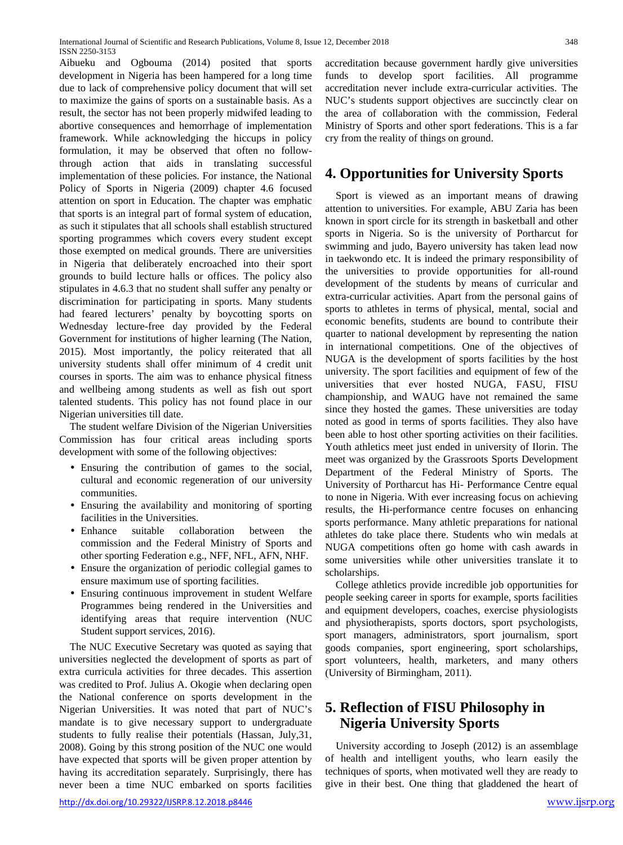Aibueku and Ogbouma (2014) posited that sports development in Nigeria has been hampered for a long time due to lack of comprehensive policy document that will set to maximize the gains of sports on a sustainable basis. As a result, the sector has not been properly midwifed leading to abortive consequences and hemorrhage of implementation framework. While acknowledging the hiccups in policy formulation, it may be observed that often no followthrough action that aids in translating successful implementation of these policies. For instance, the National Policy of Sports in Nigeria (2009) chapter 4.6 focused attention on sport in Education. The chapter was emphatic that sports is an integral part of formal system of education, as such it stipulates that all schools shall establish structured sporting programmes which covers every student except those exempted on medical grounds. There are universities in Nigeria that deliberately encroached into their sport grounds to build lecture halls or offices. The policy also stipulates in 4.6.3 that no student shall suffer any penalty or discrimination for participating in sports. Many students had feared lecturers' penalty by boycotting sports on Wednesday lecture-free day provided by the Federal Government for institutions of higher learning (The Nation, 2015). Most importantly, the policy reiterated that all university students shall offer minimum of 4 credit unit courses in sports. The aim was to enhance physical fitness and wellbeing among students as well as fish out sport talented students. This policy has not found place in our Nigerian universities till date.

The student welfare Division of the Nigerian Universities Commission has four critical areas including sports development with some of the following objectives:

- Ensuring the contribution of games to the social, cultural and economic regeneration of our university communities.
- Ensuring the availability and monitoring of sporting facilities in the Universities.
- Enhance suitable collaboration between the commission and the Federal Ministry of Sports and other sporting Federation e.g., NFF, NFL, AFN, NHF.
- Ensure the organization of periodic collegial games to ensure maximum use of sporting facilities.
- Ensuring continuous improvement in student Welfare Programmes being rendered in the Universities and identifying areas that require intervention (NUC Student support services, 2016).

The NUC Executive Secretary was quoted as saying that universities neglected the development of sports as part of extra curricula activities for three decades. This assertion was credited to Prof. Julius A. Okogie when declaring open the National conference on sports development in the Nigerian Universities. It was noted that part of NUC's mandate is to give necessary support to undergraduate students to fully realise their potentials (Hassan, July,31, 2008). Going by this strong position of the NUC one would have expected that sports will be given proper attention by having its accreditation separately. Surprisingly, there has never been a time NUC embarked on sports facilities

<http://dx.doi.org/10.29322/IJSRP.8.12.2018.p8446> [www.ijsrp.org](http://ijsrp.org/)

accreditation because government hardly give universities funds to develop sport facilities. All programme accreditation never include extra-curricular activities. The NUC's students support objectives are succinctly clear on the area of collaboration with the commission, Federal Ministry of Sports and other sport federations. This is a far cry from the reality of things on ground.

### **4. Opportunities for University Sports**

Sport is viewed as an important means of drawing attention to universities. For example, ABU Zaria has been known in sport circle for its strength in basketball and other sports in Nigeria. So is the university of Portharcut for swimming and judo, Bayero university has taken lead now in taekwondo etc. It is indeed the primary responsibility of the universities to provide opportunities for all-round development of the students by means of curricular and extra-curricular activities. Apart from the personal gains of sports to athletes in terms of physical, mental, social and economic benefits, students are bound to contribute their quarter to national development by representing the nation in international competitions. One of the objectives of NUGA is the development of sports facilities by the host university. The sport facilities and equipment of few of the universities that ever hosted NUGA, FASU, FISU championship, and WAUG have not remained the same since they hosted the games. These universities are today noted as good in terms of sports facilities. They also have been able to host other sporting activities on their facilities. Youth athletics meet just ended in university of Ilorin. The meet was organized by the Grassroots Sports Development Department of the Federal Ministry of Sports. The University of Portharcut has Hi- Performance Centre equal to none in Nigeria. With ever increasing focus on achieving results, the Hi-performance centre focuses on enhancing sports performance. Many athletic preparations for national athletes do take place there. Students who win medals at NUGA competitions often go home with cash awards in some universities while other universities translate it to scholarships.

College athletics provide incredible job opportunities for people seeking career in sports for example, sports facilities and equipment developers, coaches, exercise physiologists and physiotherapists, sports doctors, sport psychologists, sport managers, administrators, sport journalism, sport goods companies, sport engineering, sport scholarships, sport volunteers, health, marketers, and many others (University of Birmingham, 2011).

## **5. Reflection of FISU Philosophy in Nigeria University Sports**

University according to Joseph (2012) is an assemblage of health and intelligent youths, who learn easily the techniques of sports, when motivated well they are ready to give in their best. One thing that gladdened the heart of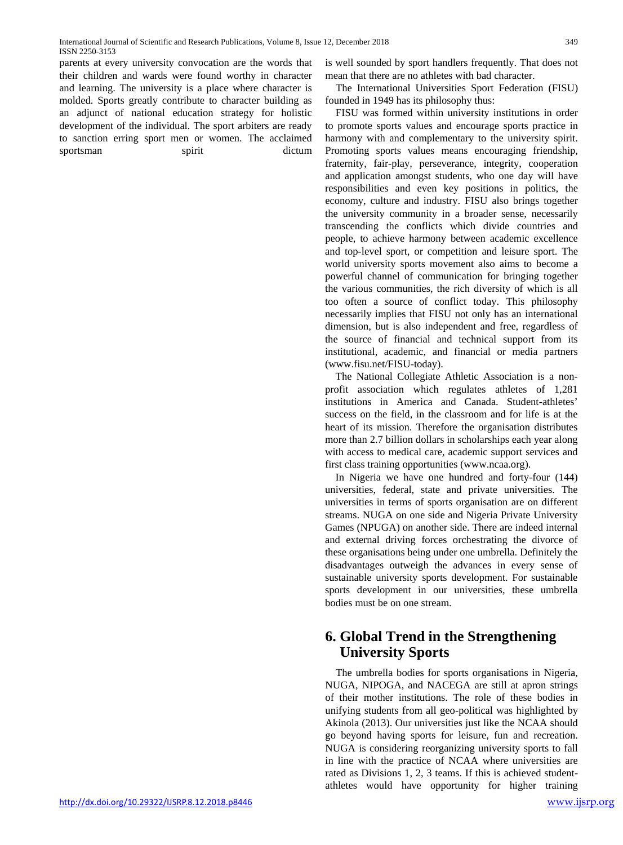parents at every university convocation are the words that their children and wards were found worthy in character and learning. The university is a place where character is molded. Sports greatly contribute to character building as an adjunct of national education strategy for holistic development of the individual. The sport arbiters are ready to sanction erring sport men or women. The acclaimed sportsman spirit dictum

is well sounded by sport handlers frequently. That does not mean that there are no athletes with bad character.

The International Universities Sport Federation (FISU) founded in 1949 has its philosophy thus:

FISU was formed within university institutions in order to promote sports values and encourage sports practice in harmony with and complementary to the university spirit. Promoting sports values means encouraging friendship, fraternity, fair-play, perseverance, integrity, cooperation and application amongst students, who one day will have responsibilities and even key positions in politics, the economy, culture and industry. FISU also brings together the university community in a broader sense, necessarily transcending the conflicts which divide countries and people, to achieve harmony between academic excellence and top-level sport, or competition and leisure sport. The world university sports movement also aims to become a powerful channel of communication for bringing together the various communities, the rich diversity of which is all too often a source of conflict today. This philosophy necessarily implies that FISU not only has an international dimension, but is also independent and free, regardless of the source of financial and technical support from its institutional, academic, and financial or media partners [\(www.fisu.net/FISU-](http://www.fisu.net/FISU)today).

The National Collegiate Athletic Association is a nonprofit association which regulates athletes of 1,281 institutions in America and Canada. Student-athletes' success on the field, in the classroom and for life is at the heart of its mission. Therefore the organisation distributes more than 2.7 billion dollars in scholarships each year along with access to medical care, academic support services and first class training opportunities [\(www.ncaa.org\)](http://www.ncaa.org/).

In Nigeria we have one hundred and forty-four (144) universities, federal, state and private universities. The universities in terms of sports organisation are on different streams. NUGA on one side and Nigeria Private University Games (NPUGA) on another side. There are indeed internal and external driving forces orchestrating the divorce of these organisations being under one umbrella. Definitely the disadvantages outweigh the advances in every sense of sustainable university sports development. For sustainable sports development in our universities, these umbrella bodies must be on one stream.

# **6. Global Trend in the Strengthening University Sports**

The umbrella bodies for sports organisations in Nigeria, NUGA, NIPOGA, and NACEGA are still at apron strings of their mother institutions. The role of these bodies in unifying students from all geo-political was highlighted by Akinola (2013). Our universities just like the NCAA should go beyond having sports for leisure, fun and recreation. NUGA is considering reorganizing university sports to fall in line with the practice of NCAA where universities are rated as Divisions 1, 2, 3 teams. If this is achieved studentathletes would have opportunity for higher training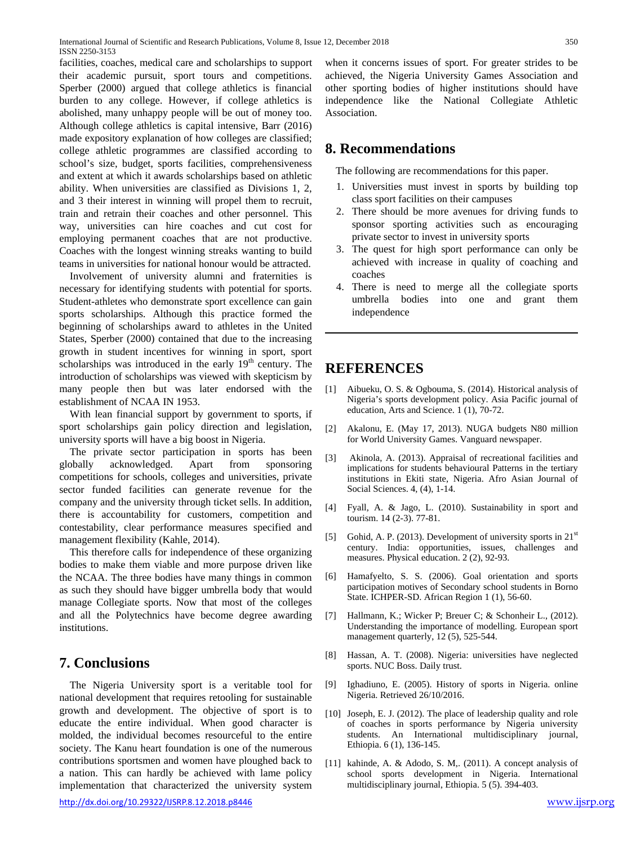facilities, coaches, medical care and scholarships to support their academic pursuit, sport tours and competitions. Sperber (2000) argued that college athletics is financial burden to any college. However, if college athletics is abolished, many unhappy people will be out of money too. Although college athletics is capital intensive, Barr (2016) made expository explanation of how colleges are classified; college athletic programmes are classified according to school's size, budget, sports facilities, comprehensiveness and extent at which it awards scholarships based on athletic ability. When universities are classified as Divisions 1, 2, and 3 their interest in winning will propel them to recruit, train and retrain their coaches and other personnel. This way, universities can hire coaches and cut cost for employing permanent coaches that are not productive. Coaches with the longest winning streaks wanting to build teams in universities for national honour would be attracted.

Involvement of university alumni and fraternities is necessary for identifying students with potential for sports. Student-athletes who demonstrate sport excellence can gain sports scholarships. Although this practice formed the beginning of scholarships award to athletes in the United States, Sperber (2000) contained that due to the increasing growth in student incentives for winning in sport, sport scholarships was introduced in the early  $19<sup>th</sup>$  century. The introduction of scholarships was viewed with skepticism by many people then but was later endorsed with the establishment of NCAA IN 1953.

With lean financial support by government to sports, if sport scholarships gain policy direction and legislation, university sports will have a big boost in Nigeria.

The private sector participation in sports has been globally acknowledged. Apart from sponsoring competitions for schools, colleges and universities, private sector funded facilities can generate revenue for the company and the university through ticket sells. In addition, there is accountability for customers, competition and contestability, clear performance measures specified and management flexibility (Kahle, 2014).

This therefore calls for independence of these organizing bodies to make them viable and more purpose driven like the NCAA. The three bodies have many things in common as such they should have bigger umbrella body that would manage Collegiate sports. Now that most of the colleges and all the Polytechnics have become degree awarding institutions.

#### **7. Conclusions**

The Nigeria University sport is a veritable tool for national development that requires retooling for sustainable growth and development. The objective of sport is to educate the entire individual. When good character is molded, the individual becomes resourceful to the entire society. The Kanu heart foundation is one of the numerous contributions sportsmen and women have ploughed back to a nation. This can hardly be achieved with lame policy implementation that characterized the university system

when it concerns issues of sport. For greater strides to be achieved, the Nigeria University Games Association and other sporting bodies of higher institutions should have independence like the National Collegiate Athletic Association.

## **8. Recommendations**

The following are recommendations for this paper.

- 1. Universities must invest in sports by building top class sport facilities on their campuses
- 2. There should be more avenues for driving funds to sponsor sporting activities such as encouraging private sector to invest in university sports
- 3. The quest for high sport performance can only be achieved with increase in quality of coaching and coaches
- 4. There is need to merge all the collegiate sports umbrella bodies into one and grant them independence

### **REFERENCES**

- [1] Aibueku, O. S. & Ogbouma, S. (2014). Historical analysis of Nigeria's sports development policy. Asia Pacific journal of education, Arts and Science. 1 (1), 70-72.
- [2] Akalonu, E. (May 17, 2013). NUGA budgets N80 million for World University Games. Vanguard newspaper.
- [3] Akinola, A. (2013). Appraisal of recreational facilities and implications for students behavioural Patterns in the tertiary institutions in Ekiti state, Nigeria. Afro Asian Journal of Social Sciences. 4, (4), 1-14.
- [4] Fyall, A. & Jago, L. (2010). Sustainability in sport and tourism. 14 (2-3). 77-81.
- [5] Gohid, A. P. (2013). Development of university sports in  $21<sup>st</sup>$ century. India: opportunities, issues, challenges and measures. Physical education. 2 (2), 92-93.
- [6] Hamafyelto, S. S. (2006). Goal orientation and sports participation motives of Secondary school students in Borno State. ICHPER-SD. African Region 1 (1), 56-60.
- [7] Hallmann, K.; Wicker P; Breuer C; & Schonheir L., (2012). Understanding the importance of modelling. European sport management quarterly, 12 (5), 525-544.
- [8] Hassan, A. T. (2008). Nigeria: universities have neglected sports. NUC Boss. Daily trust.
- [9] Ighadiuno, E. (2005). History of sports in Nigeria. online Nigeria. Retrieved 26/10/2016.
- [10] Joseph, E. J. (2012). The place of leadership quality and role of coaches in sports performance by Nigeria university students. An International multidisciplinary journal, Ethiopia. 6 (1), 136-145.
- [11] kahinde, A. & Adodo, S. M,. (2011). A concept analysis of school sports development in Nigeria. International multidisciplinary journal, Ethiopia. 5 (5). 394-403.